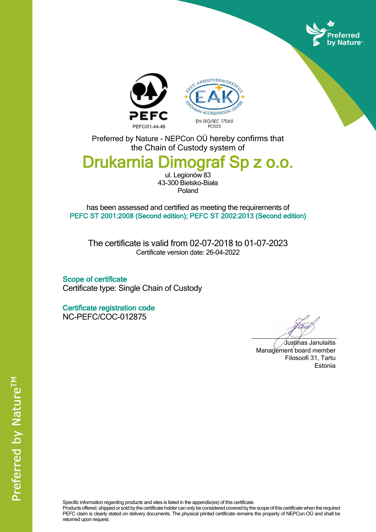





Preferred by Nature - NEPCon OÜ hereby confirms that the Chain of Custody system of

## **Drukarnia Dimograf Sp z o.o.**

ul. Legionów 83 43-300 Bielsko-Biała Poland

has been assessed and certified as meeting the requirements of **PEFC ST 2001:2008 (Second edition); PEFC ST 2002:2013 (Second edition)**

The certificate is valid from 02-07-2018 to 01-07-2023 Certificate version date: 26-04-2022

**Scope of certificate** Certificate type: Single Chain of Custody

**Certificate registration code** NC-PEFC/COC-012875

Justinas Janulaitis Management board member Filosoofi 31, Tartu Estonia

Specific information regarding products and sites is listed in the appendix(es) of this certificate.

Products offered, shipped or sold by the certificate holder can only be considered covered by the scope of this certificate when the required PEFC claim is clearly stated on delivery documents. The physical printed certificate remains the property of NEPCon OÜ and shall be returned upon request.